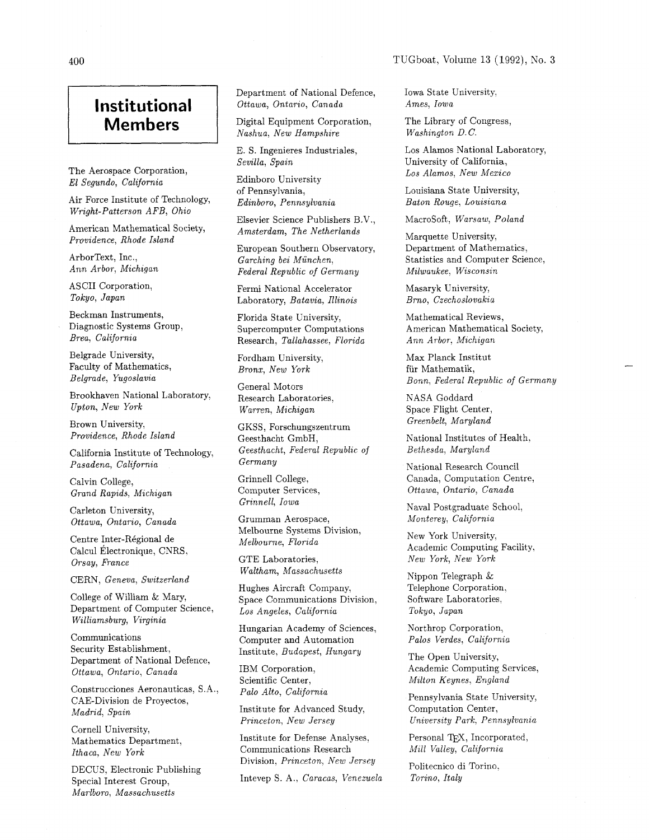## TUGboat, Volume 13 (1992), No. **3**

## **Institutional Members**

The Aerospace Corporation, El Segundo, California

Air Force Institute of Technology, Wright-Patterson AFB, Ohio

American Mathematical Society, Providence, Rhode Island

ArborText, Inc., Ann Arbor, Michigan

ASCII Corporation, Tokyo, Japan

Beckman Instruments, Diagnostic Systems Group, Brea, California

Belgrade University, Faculty of Mathematics, Belgrade, Yugoslavia

Brookhaven National Laboratory, Upton, New York

Brown University, Providence, Rhode Island

California Institute of Technology, Pasadena, California

Calvin College, Grand Rapids, Michigan

Carleton University, Ottawa, Ontario, Canada

Centre Inter-Régional de Calcul Électronique, CNRS, Orsay, France

CERN, Geneva, Switzerland

College of William & Mary, Department of Computer Science, Williamsburg, Virginia

Communications Security Establishment, Department of National Defence, Ottawa, Ontario, Canada

Construcciones Aeronauticas, S.A., CAE-Division de Proyectos, Madrid, Spain

Cornell University, Mathematics Department, Ithaca, New York

DECUS, Electronic Publishing Special Interest Group, Marlboro, Massachusetts

Department of National Defence, Ottawa, Ontario, Canada

Digital Equipment Corporation, Nashua, New Hampshire

E. S. Ingenieres Industriales, Sevilla, Spain

Edinboro University of Pennsylvania, Edinboro, Pennsylvania

Elsevier Science Publishers B.V., Amsterdam, The Netherlands

European Southern Observatory, Garching bei München, Federal Republic of Germany

Fermi National Accelerator Laboratory, Batavia, Illinois

Florida State University, Supercomputer Computations Research, Tallahassee, Florida

Fordham University, Bronx, New York

General Motors Research Laboratories, Warren, Michigan

GKSS, Forschungszentrum Geesthacht GmbH, Geesthacht, Federal Republic of Germany

Grinnell College, Computer Services, Grinnell, Iowa

Grumman Aerospace, Melbourne Systems Division, Melbourne, Florida

GTE Laboratories, Waltham, Massachusetts

Hughes Aircraft Company, Space Communications Division, Los Angeles, California

Hungarian Academy of Sciences, Computer and Automation Institute, Budapest, Hungary

IBM Corporation, Scientific Center, Pa10 Alto, California

Institute for Advanced Study, Princeton, New Jersey

Institute for Defense Analyses, Communications Research Division, Princeton, New Jersey

Intevep S. A., Caracas, Venezuela

Iowa State University, Ames, Iowa

The Library of Congress, Washington D.C.

Los Alamos National Laboratory, University of California, Los Alamos, New Mexico

Louisiana State University, Baton Rouge, Louisiana

Macrosoft, Warsaw, Poland

Marquette University, Department of Mathematics, Statistics and Computer Science, Milwaukee, Wisconsin

Masaryk University, Brno, Czechoslovakia

Mathematical Reviews, American Mathematical Society, Ann Arbor, Michigan

Max Planck Institut fiir Mathematik, Bonn, Federal Republic of Germany

NASA Goddard Space Flight Center, Greenbelt, Maryland

National Institutes of Health, Bethesda, Maryland

National Research Council Canada, Computation Centre, Ottawa, Ontario, Canada

Naval Postgraduate School, Monterey, California

New York University, Academic Computing Facility, New York, New York

Nippon Telegraph & Telephone Corporation, Software Laboratories, Tokyo, Japan

Northrop Corporation, Palos Verdes, California

The Open University, Academic Computing Services, Milton Keynes, England

Pennsylvania State University, Computation Center, University Park, Pennsylvania

Personal TFX, Incorporated, Mill Valley, California

Politecnico di Torino. Torino, Italy